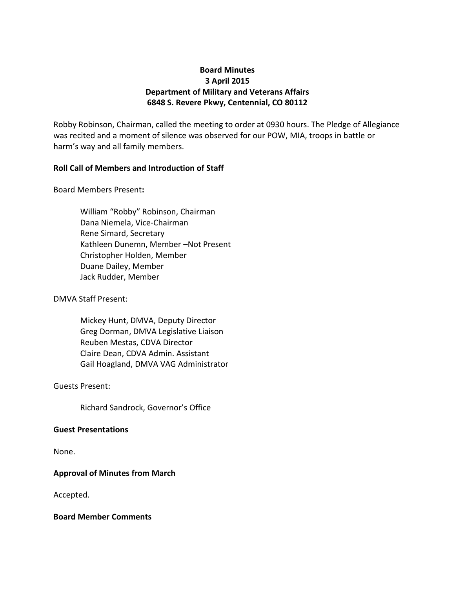# **Board Minutes 3 April 2015 Department of Military and Veterans Affairs 6848 S. Revere Pkwy, Centennial, CO 80112**

Robby Robinson, Chairman, called the meeting to order at 0930 hours. The Pledge of Allegiance was recited and a moment of silence was observed for our POW, MIA, troops in battle or harm's way and all family members.

## **Roll Call of Members and Introduction of Staff**

Board Members Present**:**

William "Robby" Robinson, Chairman Dana Niemela, Vice-Chairman Rene Simard, Secretary Kathleen Dunemn, Member –Not Present Christopher Holden, Member Duane Dailey, Member Jack Rudder, Member

DMVA Staff Present:

Mickey Hunt, DMVA, Deputy Director Greg Dorman, DMVA Legislative Liaison Reuben Mestas, CDVA Director Claire Dean, CDVA Admin. Assistant Gail Hoagland, DMVA VAG Administrator

Guests Present:

Richard Sandrock, Governor's Office

## **Guest Presentations**

None.

## **Approval of Minutes from March**

Accepted.

#### **Board Member Comments**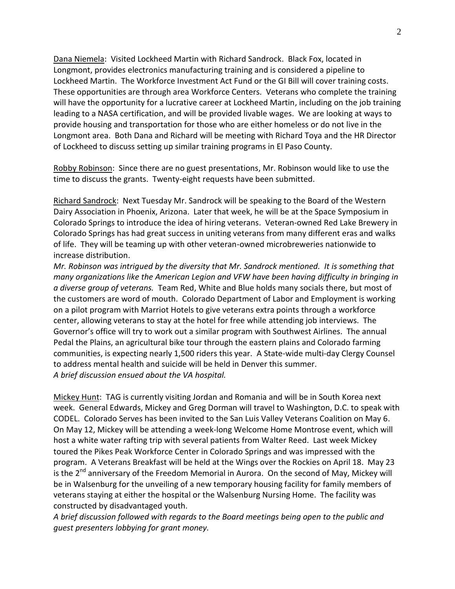Dana Niemela: Visited Lockheed Martin with Richard Sandrock. Black Fox, located in Longmont, provides electronics manufacturing training and is considered a pipeline to Lockheed Martin. The Workforce Investment Act Fund or the GI Bill will cover training costs. These opportunities are through area Workforce Centers. Veterans who complete the training will have the opportunity for a lucrative career at Lockheed Martin, including on the job training leading to a NASA certification, and will be provided livable wages. We are looking at ways to provide housing and transportation for those who are either homeless or do not live in the Longmont area. Both Dana and Richard will be meeting with Richard Toya and the HR Director of Lockheed to discuss setting up similar training programs in El Paso County.

Robby Robinson: Since there are no guest presentations, Mr. Robinson would like to use the time to discuss the grants. Twenty-eight requests have been submitted.

Richard Sandrock: Next Tuesday Mr. Sandrock will be speaking to the Board of the Western Dairy Association in Phoenix, Arizona. Later that week, he will be at the Space Symposium in Colorado Springs to introduce the idea of hiring veterans. Veteran-owned Red Lake Brewery in Colorado Springs has had great success in uniting veterans from many different eras and walks of life. They will be teaming up with other veteran-owned microbreweries nationwide to increase distribution.

*Mr. Robinson was intrigued by the diversity that Mr. Sandrock mentioned. It is something that many organizations like the American Legion and VFW have been having difficulty in bringing in a diverse group of veterans.* Team Red, White and Blue holds many socials there, but most of the customers are word of mouth. Colorado Department of Labor and Employment is working on a pilot program with Marriot Hotels to give veterans extra points through a workforce center, allowing veterans to stay at the hotel for free while attending job interviews. The Governor's office will try to work out a similar program with Southwest Airlines. The annual Pedal the Plains, an agricultural bike tour through the eastern plains and Colorado farming communities, is expecting nearly 1,500 riders this year. A State-wide multi-day Clergy Counsel to address mental health and suicide will be held in Denver this summer. *A brief discussion ensued about the VA hospital.*

Mickey Hunt: TAG is currently visiting Jordan and Romania and will be in South Korea next week. General Edwards, Mickey and Greg Dorman will travel to Washington, D.C. to speak with CODEL. Colorado Serves has been invited to the San Luis Valley Veterans Coalition on May 6. On May 12, Mickey will be attending a week-long Welcome Home Montrose event, which will host a white water rafting trip with several patients from Walter Reed. Last week Mickey toured the Pikes Peak Workforce Center in Colorado Springs and was impressed with the program. A Veterans Breakfast will be held at the Wings over the Rockies on April 18. May 23 is the  $2^{nd}$  anniversary of the Freedom Memorial in Aurora. On the second of May, Mickey will be in Walsenburg for the unveiling of a new temporary housing facility for family members of veterans staying at either the hospital or the Walsenburg Nursing Home. The facility was constructed by disadvantaged youth.

*A brief discussion followed with regards to the Board meetings being open to the public and guest presenters lobbying for grant money.*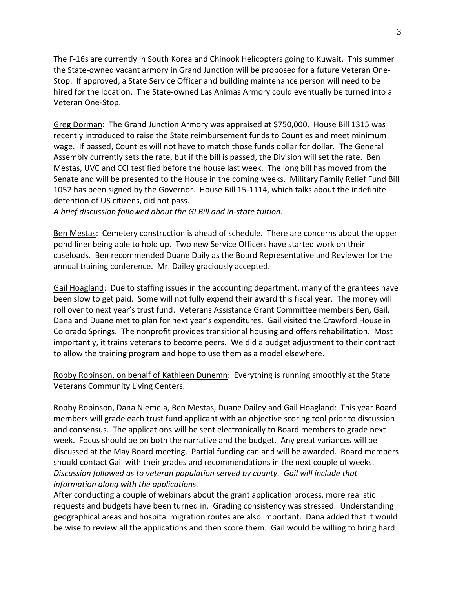The F-16s are currently in South Korea and Chinook Helicopters going to Kuwait. This summer the State-owned vacant armory in Grand Junction will be proposed for a future Veteran One-Stop. If approved, a State Service Officer and building maintenance person will need to be hired for the location. The State-owned Las Animas Armory could eventually be turned into a Veteran One-Stop.

Greg Dorman: The Grand Junction Armory was appraised at \$750,000. House Bill 1315 was recently introduced to raise the State reimbursement funds to Counties and meet minimum wage. If passed, Counties will not have to match those funds dollar for dollar. The General Assembly currently sets the rate, but if the bill is passed, the Division will set the rate. Ben Mestas, UVC and CCI testified before the house last week. The long bill has moved from the Senate and will be presented to the House in the coming weeks. Military Family Relief Fund Bill 1052 has been signed by the Governor. House Bill 15-1114, which talks about the indefinite detention of US citizens, did not pass.

*A brief discussion followed about the GI Bill and in-state tuition.*

Ben Mestas: Cemetery construction is ahead of schedule. There are concerns about the upper pond liner being able to hold up. Two new Service Officers have started work on their caseloads. Ben recommended Duane Daily as the Board Representative and Reviewer for the annual training conference. Mr. Dailey graciously accepted.

Gail Hoagland: Due to staffing issues in the accounting department, many of the grantees have been slow to get paid. Some will not fully expend their award this fiscal year. The money will roll over to next year's trust fund. Veterans Assistance Grant Committee members Ben, Gail, Dana and Duane met to plan for next year's expenditures. Gail visited the Crawford House in Colorado Springs. The nonprofit provides transitional housing and offers rehabilitation. Most importantly, it trains veterans to become peers. We did a budget adjustment to their contract to allow the training program and hope to use them as a model elsewhere.

Robby Robinson, on behalf of Kathleen Dunemn: Everything is running smoothly at the State Veterans Community Living Centers.

Robby Robinson, Dana Niemela, Ben Mestas, Duane Dailey and Gail Hoagland: This year Board members will grade each trust fund applicant with an objective scoring tool prior to discussion and consensus. The applications will be sent electronically to Board members to grade next week. Focus should be on both the narrative and the budget. Any great variances will be discussed at the May Board meeting. Partial funding can and will be awarded. Board members should contact Gail with their grades and recommendations in the next couple of weeks. *Discussion followed as to veteran population served by county. Gail will include that information along with the applications.*

After conducting a couple of webinars about the grant application process, more realistic requests and budgets have been turned in. Grading consistency was stressed. Understanding geographical areas and hospital migration routes are also important. Dana added that it would be wise to review all the applications and then score them. Gail would be willing to bring hard